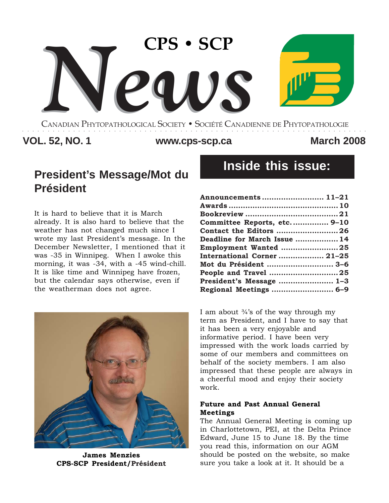

CANADIAN PHYTOPATHOLOGICAL SOCIETY **•** SOCIÉTÉ CANADIENNE DE PHYTOPATHOLOGIE ○○○○○○○○○○○○○○○○○○○○○○○○○○○○○○○○○○○○○○○○○○○○○○○○○○○○○○○○○○○○○○○○○○○○

# **VOL. 52, NO. 1 March 2008 www.cps-scp.ca**

# **President's Message/Mot du Président**

It is hard to believe that it is March already. It is also hard to believe that the weather has not changed much since I wrote my last President's message. In the December Newsletter, I mentioned that it was -35 in Winnipeg. When I awoke this morning, it was -34, with a -45 wind-chill. It is like time and Winnipeg have frozen, but the calendar says otherwise, even if the weatherman does not agree.



**James Menzies CPS-SCP President/Président**

# **Inside this issue:**

| Announcements  11-21         |  |
|------------------------------|--|
|                              |  |
|                              |  |
| Committee Reports, etc 9-10  |  |
| Contact the Editors 26       |  |
| Deadline for March Issue  14 |  |
| Employment Wanted 25         |  |
| International Corner  21-25  |  |
| Mot du Président  3-6        |  |
| People and Travel 25         |  |
| President's Message  1-3     |  |
| Regional Meetings  6-9       |  |

I am about  $\frac{3}{4}$ 's of the way through my term as President, and I have to say that it has been a very enjoyable and informative period. I have been very impressed with the work loads carried by some of our members and committees on behalf of the society members. I am also impressed that these people are always in a cheerful mood and enjoy their society work.

### **Future and Past Annual General Meetings**

The Annual General Meeting is coming up in Charlottetown, PEI, at the Delta Prince Edward, June 15 to June 18. By the time you read this, information on our AGM should be posted on the website, so make sure you take a look at it. It should be a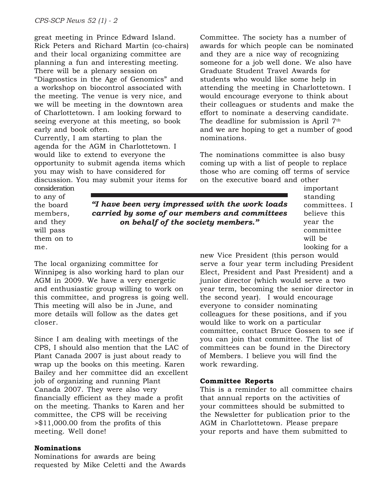great meeting in Prince Edward Island. Rick Peters and Richard Martin (co-chairs) and their local organizing committee are planning a fun and interesting meeting. There will be a plenary session on "Diagnostics in the Age of Genomics" and a workshop on biocontrol associated with the meeting. The venue is very nice, and we will be meeting in the downtown area of Charlottetown. I am looking forward to seeing everyone at this meeting, so book early and book often.

Currently, I am starting to plan the agenda for the AGM in Charlottetown. I would like to extend to everyone the opportunity to submit agenda items which you may wish to have considered for

discussion. You may submit your items for

consideration to any of the board members, and they will pass them on to me.

*"I have been very impressed with the work loads carried by some of our members and committees on behalf of the society members."*

The local organizing committee for Winnipeg is also working hard to plan our AGM in 2009. We have a very energetic and enthusiastic group willing to work on this committee, and progress is going well. This meeting will also be in June, and more details will follow as the dates get closer.

Since I am dealing with meetings of the CPS, I should also mention that the LAC of Plant Canada 2007 is just about ready to wrap up the books on this meeting. Karen Bailey and her committee did an excellent job of organizing and running Plant Canada 2007. They were also very financially efficient as they made a profit on the meeting. Thanks to Karen and her committee, the CPS will be receiving >\$11,000.00 from the profits of this meeting. Well done!

# **Nominations**

Nominations for awards are being requested by Mike Celetti and the Awards

Committee. The society has a number of awards for which people can be nominated and they are a nice way of recognizing someone for a job well done. We also have Graduate Student Travel Awards for students who would like some help in attending the meeting in Charlottetown. I would encourage everyone to think about their colleagues or students and make the effort to nominate a deserving candidate. The deadline for submission is April  $7<sup>th</sup>$ and we are hoping to get a number of good nominations.

The nominations committee is also busy coming up with a list of people to replace those who are coming off terms of service on the executive board and other

important standing committees. I believe this year the committee will be looking for a

new Vice President (this person would serve a four year term including President Elect, President and Past President) and a junior director (which would serve a two year term, becoming the senior director in the second year). I would encourage everyone to consider nominating colleagues for these positions, and if you would like to work on a particular committee, contact Bruce Gossen to see if you can join that committee. The list of committees can be found in the Directory of Members. I believe you will find the work rewarding.

# **Committee Reports**

This is a reminder to all committee chairs that annual reports on the activities of your committees should be submitted to the Newsletter for publication prior to the AGM in Charlottetown. Please prepare your reports and have them submitted to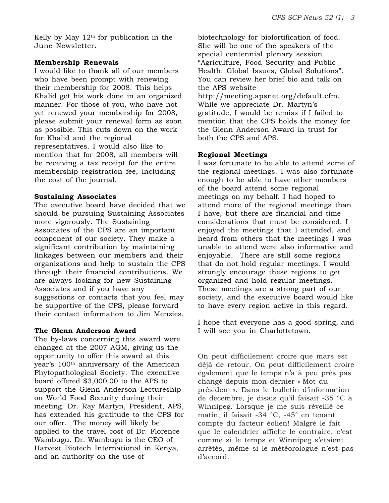Kelly by May  $12<sup>th</sup>$  for publication in the June Newsletter.

#### **Membership Renewals**

I would like to thank all of our members who have been prompt with renewing their membership for 2008. This helps Khalid get his work done in an organized manner. For those of you, who have not yet renewed your membership for 2008, please submit your renewal form as soon as possible. This cuts down on the work for Khalid and the regional representatives. I would also like to mention that for 2008, all members will be receiving a tax receipt for the entire membership registration fee, including the cost of the journal.

### **Sustaining Associates**

The executive board have decided that we should be pursuing Sustaining Associates more vigorously. The Sustaining Associates of the CPS are an important component of our society. They make a significant contribution by maintaining linkages between our members and their organizations and help to sustain the CPS through their financial contributions. We are always looking for new Sustaining Associates and if you have any suggestions or contacts that you feel may be supportive of the CPS, please forward their contact information to Jim Menzies.

#### **The Glenn Anderson Award**

The by-laws concerning this award were changed at the 2007 AGM, giving us the opportunity to offer this award at this year's 100th anniversary of the American Phytopathological Society. The executive board offered \$3,000.00 to the APS to support the Glenn Anderson Lectureship on World Food Security during their meeting. Dr. Ray Martyn, President, APS, has extended his gratitude to the CPS for our offer. The money will likely be applied to the travel cost of Dr. Florence Wambugu. Dr. Wambugu is the CEO of Harvest Biotech International in Kenya, and an authority on the use of

biotechnology for biofortification of food. She will be one of the speakers of the special centennial plenary session "Agriculture, Food Security and Public Health: Global Issues, Global Solutions". You can review her brief bio and talk on the APS website http://meeting.apsnet.org/default.cfm. While we appreciate Dr. Martyn's gratitude, I would be remiss if I failed to mention that the CPS holds the money for the Glenn Anderson Award in trust for both the CPS and APS.

# **Regional Meetings**

I was fortunate to be able to attend some of the regional meetings. I was also fortunate enough to be able to have other members of the board attend some regional meetings on my behalf. I had hoped to attend more of the regional meetings than I have, but there are financial and time considerations that must be considered. I enjoyed the meetings that I attended, and heard from others that the meetings I was unable to attend were also informative and enjoyable. There are still some regions that do not hold regular meetings. I would strongly encourage these regions to get organized and hold regular meetings. These meetings are a strong part of our society, and the executive board would like to have every region active in this regard.

I hope that everyone has a good spring, and I will see you in Charlottetown.

On peut difficilement croire que mars est déjà de retour. On peut difficilement croire également que le temps n'a à peu près pas changé depuis mon dernier « Mot du président ». Dans le bulletin d'information de décembre, je disais qu'il faisait -35 °C à Winnipeg. Lorsque je me suis réveillé ce matin, il faisait -34 °C, -45° en tenant compte du facteur éolien! Malgré le fait que le calendrier affiche le contraire, c'est comme si le temps et Winnipeg s'étaient arrêtés, même si le météorologue n'est pas d'accord.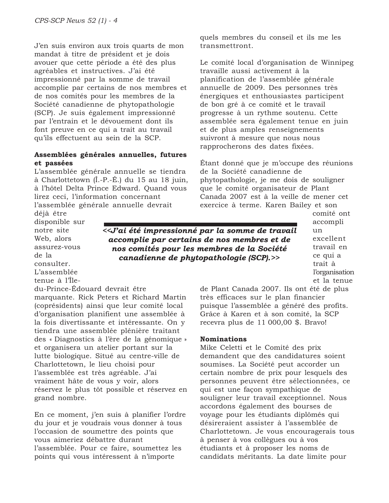J'en suis environ aux trois quarts de mon mandat à titre de président et je dois avouer que cette période a été des plus agréables et instructives. J'ai été impressionné par la somme de travail accomplie par certains de nos membres et de nos comités pour les membres de la Société canadienne de phytopathologie (SCP). Je suis également impressionné par l'entrain et le dévouement dont ils font preuve en ce qui a trait au travail qu'ils effectuent au sein de la SCP.

### **Assemblées générales annuelles, futures et passées**

L'assemblée générale annuelle se tiendra à Charlottetown (Î.-P.-É.) du 15 au 18 juin, à l'hôtel Delta Prince Edward. Quand vous lirez ceci, l'information concernant

l'assemblée générale annuelle devrait

quels membres du conseil et ils me les transmettront.

Le comité local d'organisation de Winnipeg travaille aussi activement à la planification de l'assemblée générale annuelle de 2009. Des personnes très énergiques et enthousiastes participent de bon gré à ce comité et le travail progresse à un rythme soutenu. Cette assemblée sera également tenue en juin et de plus amples renseignements suivront à mesure que nous nous rapprocherons des dates fixées.

Étant donné que je m'occupe des réunions de la Société canadienne de phytopathologie, je me dois de souligner que le comité organisateur de Plant Canada 2007 est à la veille de mener cet exercice à terme. Karen Bailey et son

déjà être disponible sur notre site Web, alors assurez-vous de la consulter. L'assemblée

tenue à l'Île-

*<<J'ai été impressionné par la somme de travail accomplie par certains de nos membres et de nos comités pour les membres de la Société canadienne de phytopathologie (SCP).>>*

comité ont accompli un excellent travail en ce qui a trait à l'organisation et la tenue

du-Prince-Édouard devrait être

marquante. Rick Peters et Richard Martin (coprésidents) ainsi que leur comité local d'organisation planifient une assemblée à la fois divertissante et intéressante. On y tiendra une assemblée plénière traitant des « Diagnostics à l'ère de la génomique » et organisera un atelier portant sur la lutte biologique. Situé au centre-ville de Charlottetown, le lieu choisi pour l'assemblée est très agréable. J'ai vraiment hâte de vous y voir, alors réservez le plus tôt possible et réservez en grand nombre.

En ce moment, j'en suis à planifier l'ordre du jour et je voudrais vous donner à tous l'occasion de soumettre des points que vous aimeriez débattre durant l'assemblée. Pour ce faire, soumettez les points qui vous intéressent à n'importe

de Plant Canada 2007. Ils ont été de plus très efficaces sur le plan financier puisque l'assemblée a généré des profits. Grâce à Karen et à son comité, la SCP recevra plus de 11 000,00 \$. Bravo!

#### **Nominations**

Mike Celetti et le Comité des prix demandent que des candidatures soient soumises. La Société peut accorder un certain nombre de prix pour lesquels des personnes peuvent être sélectionnées, ce qui est une façon sympathique de souligner leur travail exceptionnel. Nous accordons également des bourses de voyage pour les étudiants diplômés qui désireraient assister à l'assemblée de Charlottetown. Je vous encouragerais tous à penser à vos collègues ou à vos étudiants et à proposer les noms de candidats méritants. La date limite pour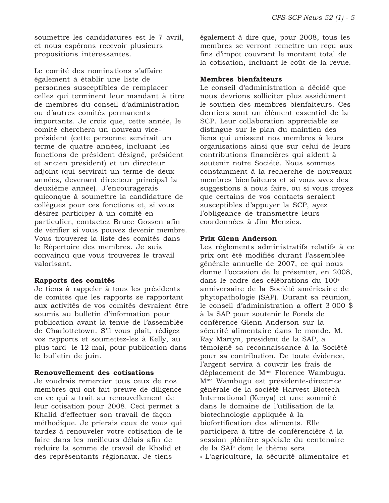soumettre les candidatures est le 7 avril, et nous espérons recevoir plusieurs propositions intéressantes.

Le comité des nominations s'affaire également à établir une liste de personnes susceptibles de remplacer celles qui terminent leur mandant à titre de membres du conseil d'administration ou d'autres comités permanents importants. Je crois que, cette année, le comité cherchera un nouveau viceprésident (cette personne servirait un terme de quatre années, incluant les fonctions de président désigné, président et ancien président) et un directeur adjoint (qui servirait un terme de deux années, devenant directeur principal la deuxième année). J'encouragerais quiconque à soumettre la candidature de collègues pour ces fonctions et, si vous désirez participer à un comité en particulier, contactez Bruce Gossen afin de vérifier si vous pouvez devenir membre. Vous trouverez la liste des comités dans le Répertoire des membres. Je suis convaincu que vous trouverez le travail valorisant.

#### **Rapports des comités**

Je tiens à rappeler à tous les présidents de comités que les rapports se rapportant aux activités de vos comités devraient être soumis au bulletin d'information pour publication avant la tenue de l'assemblée de Charlottetown. S'il vous plaît, rédigez vos rapports et soumettez-les à Kelly, au plus tard le 12 mai, pour publication dans le bulletin de juin.

### **Renouvellement des cotisations**

Je voudrais remercier tous ceux de nos membres qui ont fait preuve de diligence en ce qui a trait au renouvellement de leur cotisation pour 2008. Ceci permet à Khalid d'effectuer son travail de façon méthodique. Je prierais ceux de vous qui tardez à renouveler votre cotisation de le faire dans les meilleurs délais afin de réduire la somme de travail de Khalid et des représentants régionaux. Je tiens

également à dire que, pour 2008, tous les membres se verront remettre un reçu aux fins d'impôt couvrant le montant total de la cotisation, incluant le coût de la revue.

#### **Membres bienfaiteurs**

Le conseil d'administration a décidé que nous devrions solliciter plus assidûment le soutien des membres bienfaiteurs. Ces derniers sont un élément essentiel de la SCP. Leur collaboration appréciable se distingue sur le plan du maintien des liens qui unissent nos membres à leurs organisations ainsi que sur celui de leurs contributions financières qui aident à soutenir notre Société. Nous sommes constamment à la recherche de nouveaux membres bienfaiteurs et si vous avez des suggestions à nous faire, ou si vous croyez que certains de vos contacts seraient susceptibles d'appuyer la SCP, ayez l'obligeance de transmettre leurs coordonnées à Jim Menzies.

#### **Prix Glenn Anderson**

Les règlements administratifs relatifs à ce prix ont été modifiés durant l'assemblée générale annuelle de 2007, ce qui nous donne l'occasion de le présenter, en 2008, dans le cadre des célébrations du 100<sup>e</sup> anniversaire de la Société américaine de phytopathologie (SAP). Durant sa réunion, le conseil d'administration a offert 3 000 \$ à la SAP pour soutenir le Fonds de conférence Glenn Anderson sur la sécurité alimentaire dans le monde. M. Ray Martyn, président de la SAP, a témoigné sa reconnaissance à la Société pour sa contribution. De toute évidence, l'argent servira à couvrir les frais de déplacement de Mme Florence Wambugu. Mme Wambugu est présidente-directrice générale de la société Harvest Biotech International (Kenya) et une sommité dans le domaine de l'utilisation de la biotechnologie appliquée à la biofortification des aliments. Elle participera à titre de conférencière à la session plénière spéciale du centenaire de la SAP dont le thème sera « L'agriculture, la sécurité alimentaire et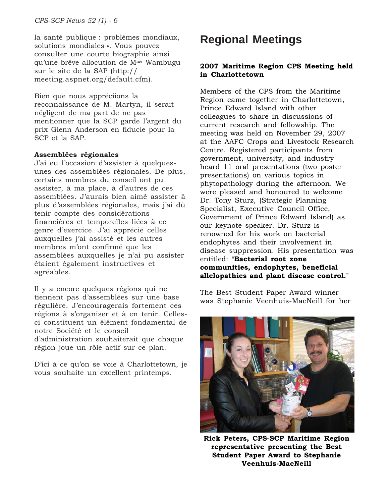la santé publique : problèmes mondiaux, Regional Meetings solutions mondiales ». Vous pouvez consulter une courte biographie ainsi qu'une brève allocution de Mme Wambugu sur le site de la SAP (http:// meeting.aspnet.org/default.cfm).

Bien que nous appréciions la reconnaissance de M. Martyn, il serait négligent de ma part de ne pas mentionner que la SCP garde l'argent du prix Glenn Anderson en fiducie pour la SCP et la SAP.

### **Assemblées régionales**

J'ai eu l'occasion d'assister à quelquesunes des assemblées régionales. De plus, certains membres du conseil ont pu assister, à ma place, à d'autres de ces assemblées. J'aurais bien aimé assister à plus d'assemblées régionales, mais j'ai dû tenir compte des considérations financières et temporelles liées à ce genre d'exercice. J'ai apprécié celles auxquelles j'ai assisté et les autres membres m'ont confirmé que les assemblées auxquelles je n'ai pu assister étaient également instructives et agréables.

Il y a encore quelques régions qui ne tiennent pas d'assemblées sur une base régulière. J'encouragerais fortement ces régions à s'organiser et à en tenir. Cellesci constituent un élément fondamental de notre Société et le conseil d'administration souhaiterait que chaque région joue un rôle actif sur ce plan.

D'ici à ce qu'on se voie à Charlottetown, je vous souhaite un excellent printemps.

# **2007 Maritime Region CPS Meeting held in Charlottetown**

Members of the CPS from the Maritime Region came together in Charlottetown, Prince Edward Island with other colleagues to share in discussions of current research and fellowship. The meeting was held on November 29, 2007 at the AAFC Crops and Livestock Research Centre. Registered participants from government, university, and industry heard 11 oral presentations (two poster presentations) on various topics in phytopathology during the afternoon. We were pleased and honoured to welcome Dr. Tony Sturz, (Strategic Planning Specialist, Executive Council Office, Government of Prince Edward Island) as our keynote speaker. Dr. Sturz is renowned for his work on bacterial endophytes and their involvement in disease suppression. His presentation was entitled: "Bacterial root zone **communities, endophytes, beneficial** allelopathies and plant disease control."

The Best Student Paper Award winner was Stephanie Veenhuis-MacNeill for her



**Rick Peters, CPS-SCP Maritime Region representative presenting the Best Student Paper Award to Stephanie Veenhuis-MacNeill**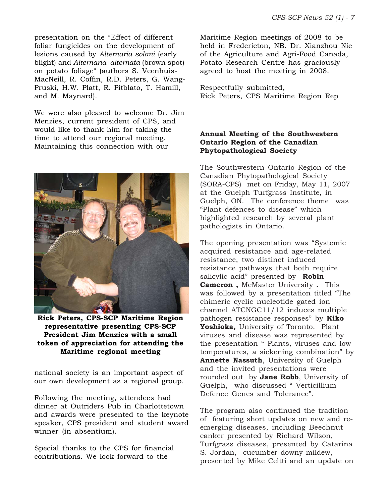presentation on the "Effect of different" foliar fungicides on the development of lesions caused by *Alternaria solani* (early blight) and *Alternaria alternata* (brown spot) on potato foliage" (authors S. Veenhuis-MacNeill, R. Coffin, R.D. Peters, G. Wang-Pruski, H.W. Platt, R. Pitblato, T. Hamill, and M. Maynard).

We were also pleased to welcome Dr. Jim Menzies, current president of CPS, and would like to thank him for taking the time to attend our regional meeting. Maintaining this connection with our



**Rick Peters, CPS-SCP Maritime Region representative presenting CPS-SCP President Jim Menzies with a small token of appreciation for attending the Maritime regional meeting**

national society is an important aspect of our own development as a regional group.

Following the meeting, attendees had dinner at Outriders Pub in Charlottetown and awards were presented to the keynote speaker, CPS president and student award winner (in absentium).

Special thanks to the CPS for financial contributions. We look forward to the

Maritime Region meetings of 2008 to be held in Fredericton, NB. Dr. Xianzhou Nie of the Agriculture and Agri-Food Canada, Potato Research Centre has graciously agreed to host the meeting in 2008.

Respectfully submitted, Rick Peters, CPS Maritime Region Rep

# **Annual Meeting of the Southwestern Ontario Region of the Canadian Phytopathological Society**

The Southwestern Ontario Region of the Canadian Phytopathological Society (SORA-CPS) met on Friday, May 11, 2007 at the Guelph Turfgrass Institute, in Guelph, ON. The conference theme was "Plant defences to disease" which highlighted research by several plant pathologists in Ontario.

The opening presentation was "Systemic acquired resistance and age-related resistance, two distinct induced resistance pathways that both require salicylic acid" presented by **Robin Cameron ,** McMaster University **.** This was followed by a presentation titled "The chimeric cyclic nucleotide gated ion channel ATCNGC11/12 induces multiple pathogen resistance responses" by **Kiko Yoshioka,** University of Toronto. Plant viruses and disease was represented by the presentation " Plants, viruses and low temperatures, a sickening combination" by **Annette Nassuth**, University of Guelph and the invited presentations were rounded out by **Jane Robb**, University of Guelph, who discussed " Verticillium Defence Genes and Tolerance".

The program also continued the tradition of featuring short updates on new and reemerging diseases, including Beechnut canker presented by Richard Wilson, Turfgrass diseases, presented by Catarina S. Jordan, cucumber downy mildew, presented by Mike Celtti and an update on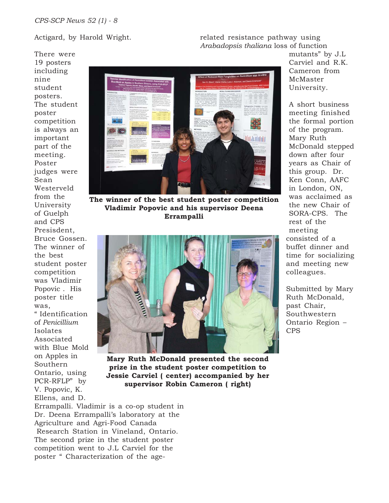There were

# Actigard, by Harold Wright.

related resistance pathway using *Arabadopsis thaliana* loss of function

19 posters including nine student posters. The student poster competition is always an important part of the meeting. Poster judges were Sean Westerveld from the University of Guelph and CPS Presisdent, Bruce Gossen. The winner of the best student poster competition was Vladimir Popovic . His poster title was, " Identification of *Penicillium* Isolates Associated with Blue Mold on Apples in

Southern

Ontario, using PCR-RFLP" by V. Popovic, K.



**The winner of the best student poster competition Vladimir Popovic and his supervisor Deena Errampalli**



**Mary Ruth McDonald presented the second prize in the student poster competition to Jessie Carviel ( center) accompanied by her supervisor Robin Cameron ( right)**

Ellens, and D. Errampalli. Vladimir is a co-op student in Dr. Deena Errampalli's laboratory at the Agriculture and Agri-Food Canada Research Station in Vineland, Ontario. The second prize in the student poster competition went to J.L Carviel for the poster " Characterization of the agemutants" by J.L Carviel and R.K. Cameron from McMaster University.

A short business meeting finished the formal portion of the program. Mary Ruth McDonald stepped down after four years as Chair of this group. Dr. Ken Conn, AAFC in London, ON, was acclaimed as the new Chair of SORA-CPS. The rest of the meeting consisted of a buffet dinner and time for socializing and meeting new colleagues.

Submitted by Mary Ruth McDonald, past Chair, Southwestern Ontario Region – CPS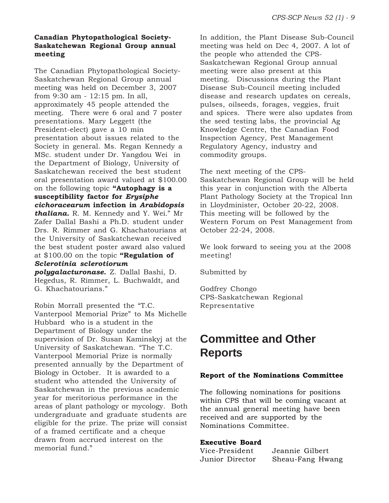# **Canadian Phytopathological Society-Saskatchewan Regional Group annual meeting**

The Canadian Phytopathological Society-Saskatchewan Regional Group annual meeting was held on December 3, 2007 from 9:30 am - 12:15 pm. In all, approximately 45 people attended the meeting. There were 6 oral and 7 poster presentations. Mary Leggett (the President-elect) gave a 10 min presentation about issues related to the Society in general. Ms. Regan Kennedy a MSc. student under Dr. Yangdou Wei in the Department of Biology, University of Saskatchewan received the best student oral presentation award valued at \$100.00 on the following topic **"Autophagy is a susceptibility factor for** *Erysiphe cichoracearum* **infection in** *Arabidopsis thaliana.* R. M. Kennedy and Y. Wei." Mr Zafer Dallal Bashi a Ph.D. student under Drs. R. Rimmer and G. Khachatourians at the University of Saskatchewan received the best student poster award also valued at \$100.00 on the topic **"Regulation of** *Sclerotinia sclerotiorum*

*polygalacturonase.* Z. Dallal Bashi, D. Hegedus, R. Rimmer, L. Buchwaldt, and G. Khachatourians."

Robin Morrall presented the "T.C. Vanterpool Memorial Prize" to Ms Michelle Hubbard who is a student in the Department of Biology under the supervision of Dr. Susan Kaminskyj at the University of Saskatchewan. "The T.C. Vanterpool Memorial Prize is normally presented annually by the Department of Biology in October. It is awarded to a student who attended the University of Saskatchewan in the previous academic year for meritorious performance in the areas of plant pathology or mycology. Both undergraduate and graduate students are eligible for the prize. The prize will consist of a framed certificate and a cheque drawn from accrued interest on the memorial fund."

In addition, the Plant Disease Sub-Council meeting was held on Dec 4, 2007. A lot of the people who attended the CPS-Saskatchewan Regional Group annual meeting were also present at this meeting. Discussions during the Plant Disease Sub-Council meeting included disease and research updates on cereals, pulses, oilseeds, forages, veggies, fruit and spices. There were also updates from the seed testing labs, the provincial Ag Knowledge Centre, the Canadian Food Inspection Agency, Pest Management Regulatory Agency, industry and commodity groups.

The next meeting of the CPS-Saskatchewan Regional Group will be held this year in conjunction with the Alberta Plant Pathology Society at the Tropical Inn in Lloydminister, October 20-22, 2008. This meeting will be followed by the Western Forum on Pest Management from October 22-24, 2008.

We look forward to seeing you at the 2008 meeting!

Submitted by

Godfrey Chongo CPS-Saskatchewan Regional Representative

# **Committee and Other Reports**

#### **Report of the Nominations Committee**

The following nominations for positions within CPS that will be coming vacant at the annual general meeting have been received and are supported by the Nominations Committee.

#### **Executive Board**

| Vice-President  | Jeannie Gilbert  |  |  |  |  |
|-----------------|------------------|--|--|--|--|
| Junior Director | Sheau-Fang Hwang |  |  |  |  |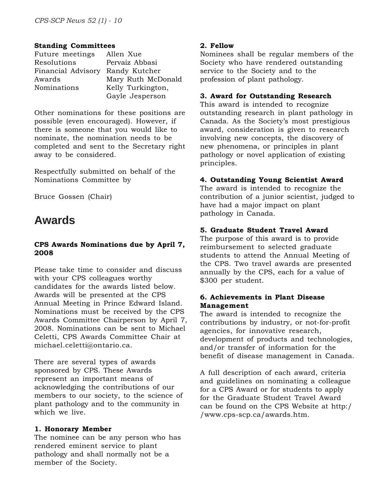# **Standing Committees**

| Future meetings    | Allen Xue          |  |  |
|--------------------|--------------------|--|--|
| Resolutions        | Pervaiz Abbasi     |  |  |
| Financial Advisory | Randy Kutcher      |  |  |
| Awards             | Mary Ruth McDonald |  |  |
| Nominations        | Kelly Turkington,  |  |  |
|                    | Gayle Jesperson    |  |  |

Other nominations for these positions are possible (even encouraged). However, if there is someone that you would like to nominate, the nomination needs to be completed and sent to the Secretary right away to be considered.

Respectfully submitted on behalf of the Nominations Committee by

Bruce Gossen (Chair)

# **Awards**

# **CPS Awards Nominations due by April 7, 2008**

Please take time to consider and discuss with your CPS colleagues worthy candidates for the awards listed below. Awards will be presented at the CPS Annual Meeting in Prince Edward Island. Nominations must be received by the CPS Awards Committee Chairperson by April 7, 2008. Nominations can be sent to Michael Celetti, CPS Awards Committee Chair at michael.celetti@ontario.ca.

There are several types of awards sponsored by CPS. These Awards represent an important means of acknowledging the contributions of our members to our society, to the science of plant pathology and to the community in which we live.

# **1. Honorary Member**

The nominee can be any person who has rendered eminent service to plant pathology and shall normally not be a member of the Society.

# **2. Fellow**

Nominees shall be regular members of the Society who have rendered outstanding service to the Society and to the profession of plant pathology.

# **3. Award for Outstanding Research**

This award is intended to recognize outstanding research in plant pathology in Canada. As the Society's most prestigious award, consideration is given to research involving new concepts, the discovery of new phenomena, or principles in plant pathology or novel application of existing principles.

# **4. Outstanding Young Scientist Award**

The award is intended to recognize the contribution of a junior scientist, judged to have had a major impact on plant pathology in Canada.

# **5. Graduate Student Travel Award**

The purpose of this award is to provide reimbursement to selected graduate students to attend the Annual Meeting of the CPS. Two travel awards are presented annually by the CPS, each for a value of \$300 per student.

# **6. Achievements in Plant Disease Management**

The award is intended to recognize the contributions by industry, or not-for-profit agencies, for innovative research, development of products and technologies, and/or transfer of information for the benefit of disease management in Canada.

A full description of each award, criteria and guidelines on nominating a colleague for a CPS Award or for students to apply for the Graduate Student Travel Award can be found on the CPS Website at http:/ /www.cps-scp.ca/awards.htm.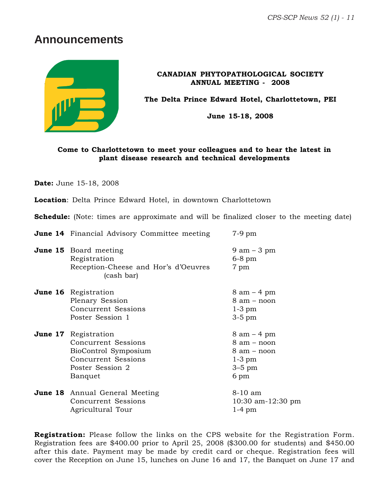*CPS-SCP News 52 (1) - 11*

# **Announcements**



**CANADIAN PHYTOPATHOLOGICAL SOCIETY ANNUAL MEETING - 2008**

**The Delta Prince Edward Hotel, Charlottetown, PEI**

**June 15-18, 2008**

# **Come to Charlottetown to meet your colleagues and to hear the latest in plant disease research and technical developments**

**Date:** June 15-18, 2008

**Location**: Delta Prince Edward Hotel, in downtown Charlottetown

**Schedule:** (Note: times are approximate and will be finalized closer to the meeting date)

| <b>June 14</b> Financial Advisory Committee meeting                                                                              | 7-9 pm                                                                                      |  |  |  |
|----------------------------------------------------------------------------------------------------------------------------------|---------------------------------------------------------------------------------------------|--|--|--|
| <b>June 15</b> Board meeting<br>Registration<br>Reception-Cheese and Hor's d'Oeuvres<br>(cash bar)                               | $9$ am $-3$ pm<br>$6-8$ pm<br>7 pm                                                          |  |  |  |
| <b>June 16</b> Registration<br>Plenary Session<br>Concurrent Sessions<br>Poster Session 1                                        | $8 \text{ am} - 4 \text{ pm}$<br>$8$ am $-$ noon<br>$1-3$ pm<br>$3-5$ pm                    |  |  |  |
| <b>June 17</b> Registration<br>Concurrent Sessions<br>BioControl Symposium<br>Concurrent Sessions<br>Poster Session 2<br>Banquet | $8 \text{ am} - 4 \text{ pm}$<br>8 am - noon<br>8 am – noon<br>$1-3$ pm<br>$3-5$ pm<br>6 pm |  |  |  |
| <b>June 18</b> Annual General Meeting<br>Concurrent Sessions<br>Agricultural Tour                                                | 8-10 am<br>10:30 am-12:30 pm<br>$1-4$ pm                                                    |  |  |  |

**Registration:** Please follow the links on the CPS website for the Registration Form. Registration fees are \$400.00 prior to April 25, 2008 (\$300.00 for students) and \$450.00 after this date. Payment may be made by credit card or cheque. Registration fees will cover the Reception on June 15, lunches on June 16 and 17, the Banquet on June 17 and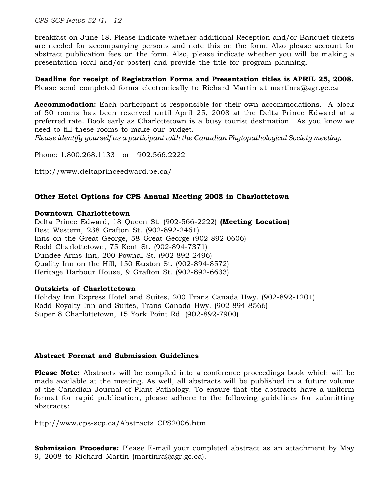*CPS-SCP News 52 (1) - 12*

breakfast on June 18. Please indicate whether additional Reception and/or Banquet tickets are needed for accompanying persons and note this on the form. Also please account for abstract publication fees on the form. Also, please indicate whether you will be making a presentation (oral and/or poster) and provide the title for program planning.

**Deadline for receipt of Registration Forms and Presentation titles is APRIL 25, 2008.** Please send completed forms electronically to Richard Martin at martinra@agr.gc.ca

**Accommodation:** Each participant is responsible for their own accommodations. A block of 50 rooms has been reserved until April 25, 2008 at the Delta Prince Edward at a preferred rate. Book early as Charlottetown is a busy tourist destination. As you know we need to fill these rooms to make our budget.

*Please identify yourself as a participant with the Canadian Phytopathological Society meeting.*

Phone: 1.800.268.1133 or 902.566.2222

http://www.deltaprinceedward.pe.ca/

#### **Other Hotel Options for CPS Annual Meeting 2008 in Charlottetown**

#### **Downtown Charlottetown**

Delta Prince Edward, 18 Queen St. (902-566-2222) **(Meeting Location)** Best Western, 238 Grafton St. (902-892-2461) Inns on the Great George, 58 Great George (902-892-0606) Rodd Charlottetown, 75 Kent St. (902-894-7371) Dundee Arms Inn, 200 Pownal St. (902-892-2496) Quality Inn on the Hill, 150 Euston St. (902-894-8572) Heritage Harbour House, 9 Grafton St. (902-892-6633)

#### **Outskirts of Charlottetown**

Holiday Inn Express Hotel and Suites, 200 Trans Canada Hwy. (902-892-1201) Rodd Royalty Inn and Suites, Trans Canada Hwy. (902-894-8566) Super 8 Charlottetown, 15 York Point Rd. (902-892-7900)

#### **Abstract Format and Submission Guidelines**

**Please Note:** Abstracts will be compiled into a conference proceedings book which will be made available at the meeting. As well, all abstracts will be published in a future volume of the Canadian Journal of Plant Pathology. To ensure that the abstracts have a uniform format for rapid publication, please adhere to the following guidelines for submitting abstracts:

http://www.cps-scp.ca/Abstracts\_CPS2006.htm

**Submission Procedure:** Please E-mail your completed abstract as an attachment by May 9, 2008 to Richard Martin (martinra@agr.gc.ca).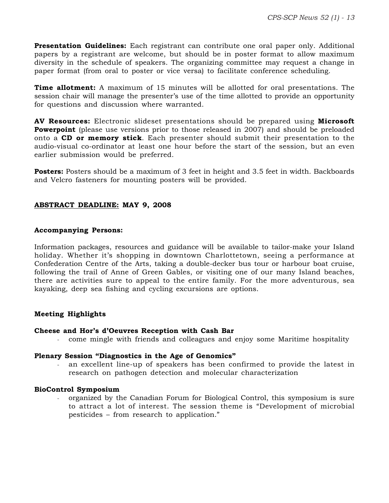**Presentation Guidelines:** Each registrant can contribute one oral paper only. Additional papers by a registrant are welcome, but should be in poster format to allow maximum diversity in the schedule of speakers. The organizing committee may request a change in paper format (from oral to poster or vice versa) to facilitate conference scheduling.

**Time allotment:** A maximum of 15 minutes will be allotted for oral presentations. The session chair will manage the presenter's use of the time allotted to provide an opportunity for questions and discussion where warranted.

**AV Resources:** Electronic slideset presentations should be prepared using **Microsoft Powerpoint** (please use versions prior to those released in 2007) and should be preloaded onto a **CD or memory stick**. Each presenter should submit their presentation to the audio-visual co-ordinator at least one hour before the start of the session, but an even earlier submission would be preferred.

**Posters:** Posters should be a maximum of 3 feet in height and 3.5 feet in width. Backboards and Velcro fasteners for mounting posters will be provided.

### **ABSTRACT DEADLINE: MAY 9, 2008**

#### **Accompanying Persons:**

Information packages, resources and guidance will be available to tailor-make your Island holiday. Whether it's shopping in downtown Charlottetown, seeing a performance at Confederation Centre of the Arts, taking a double-decker bus tour or harbour boat cruise, following the trail of Anne of Green Gables, or visiting one of our many Island beaches, there are activities sure to appeal to the entire family. For the more adventurous, sea kayaking, deep sea fishing and cycling excursions are options.

#### **Meeting Highlights**

#### **Cheese and Hor's d'Oeuvres Reception with Cash Bar**

- come mingle with friends and colleagues and enjoy some Maritime hospitality

#### **Plenary Session "Diagnostics in the Age of Genomics"**

an excellent line-up of speakers has been confirmed to provide the latest in research on pathogen detection and molecular characterization

#### **BioControl Symposium**

organized by the Canadian Forum for Biological Control, this symposium is sure to attract a lot of interest. The session theme is "Development of microbial pesticides – from research to application."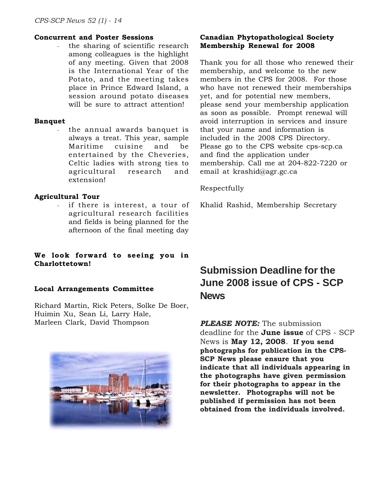#### **Concurrent and Poster Sessions**

the sharing of scientific research among colleagues is the highlight of any meeting. Given that 2008 is the International Year of the Potato, and the meeting takes place in Prince Edward Island, a session around potato diseases will be sure to attract attention!

#### **Banquet**

the annual awards banquet is always a treat. This year, sample Maritime cuisine and be entertained by the Cheveries, Celtic ladies with strong ties to agricultural research and extension!

### **Agricultural Tour**

if there is interest, a tour of agricultural research facilities and fields is being planned for the afternoon of the final meeting day

### **We look forward to seeing you in Charlottetown!**

#### **Local Arrangements Committee**

Richard Martin, Rick Peters, Solke De Boer, Huimin Xu, Sean Li, Larry Hale, Marleen Clark, David Thompson



# **Canadian Phytopathological Society Membership Renewal for 2008**

Thank you for all those who renewed their membership, and welcome to the new members in the CPS for 2008. For those who have not renewed their memberships yet, and for potential new members, please send your membership application as soon as possible. Prompt renewal will avoid interruption in services and insure that your name and information is included in the 2008 CPS Directory. Please go to the CPS website cps-scp.ca and find the application under membership. Call me at 204-822-7220 or email at krashid@agr.gc.ca

#### Respectfully

Khalid Rashid, Membership Secretary

# **Submission Deadline for the June 2008 issue of CPS - SCP News**

*PLEASE NOTE:* The submission deadline for the **June issue** of CPS - SCP News is **May 12, 2008**. **If you send photographs for publication in the CPS-SCP News please ensure that you indicate that all individuals appearing in the photographs have given permission for their photographs to appear in the newsletter. Photographs will not be published if permission has not been obtained from the individuals involved.**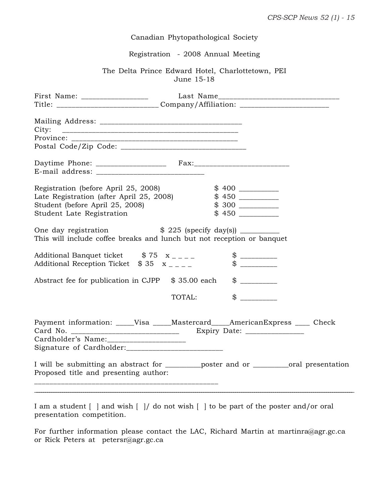# Canadian Phytopathological Society

# Registration - 2008 Annual Meeting

# The Delta Prince Edward Hotel, Charlottetown, PEI June 15-18

| First Name: ____________________                                                                                                                                                                                  |                        |                               |         |  |
|-------------------------------------------------------------------------------------------------------------------------------------------------------------------------------------------------------------------|------------------------|-------------------------------|---------|--|
| Title: ______________________________Company/Affiliation: ______________________                                                                                                                                  |                        |                               |         |  |
|                                                                                                                                                                                                                   |                        |                               |         |  |
|                                                                                                                                                                                                                   |                        |                               |         |  |
|                                                                                                                                                                                                                   |                        |                               |         |  |
| Registration (before April 25, 2008)                                                                                                                                                                              |                        |                               |         |  |
| Late Registration (after April 25, 2008)                                                                                                                                                                          |                        |                               |         |  |
| Student (before April 25, 2008)                                                                                                                                                                                   |                        |                               |         |  |
| Student Late Registration                                                                                                                                                                                         |                        |                               |         |  |
| This will include coffee breaks and lunch but not reception or banquet<br>Additional Banquet ticket $$75 \text{ x}_{---}$<br>Additional Reception Ticket $$35 \text{ x }$<br>Abstract fee for publication in CJPP | \$35.00 each<br>TOTAL: | $\frac{1}{2}$<br>$\mathbb{S}$ | $\circ$ |  |
| Payment information: ____Visa ____Mastercard____AmericanExpress ____ Check                                                                                                                                        |                        |                               |         |  |
| I will be submitting an abstract for _________poster and or __________oral presentation<br>Proposed title and presenting author:                                                                                  |                        |                               |         |  |

| I am a student     and wish       do not wish     to be part of the poster and/or oral |  |  |  |  |  |
|----------------------------------------------------------------------------------------|--|--|--|--|--|
| presentation competition.                                                              |  |  |  |  |  |

For further information please contact the LAC, Richard Martin at martinra@agr.gc.ca or Rick Peters at petersr@agr.gc.ca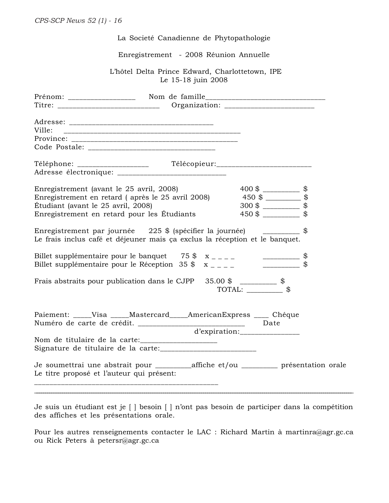| La Societé Canadienne de Phytopathologie                                                                                                                                                                                                                                      |  |  |  |  |
|-------------------------------------------------------------------------------------------------------------------------------------------------------------------------------------------------------------------------------------------------------------------------------|--|--|--|--|
| Enregistrement - 2008 Réunion Annuelle                                                                                                                                                                                                                                        |  |  |  |  |
| L'hôtel Delta Prince Edward, Charlottetown, IPE<br>Le 15-18 juin 2008                                                                                                                                                                                                         |  |  |  |  |
|                                                                                                                                                                                                                                                                               |  |  |  |  |
| Ville:                                                                                                                                                                                                                                                                        |  |  |  |  |
|                                                                                                                                                                                                                                                                               |  |  |  |  |
| Enregistrement (avant le 25 avril, 2008)<br>Enregistrement en retard (après le 25 avril 2008) $\qquad \qquad 450 \text{ $}} \qquad \qquad$<br>$300\frac{1}{2}$ \[\]<br>Étudiant (avant le 25 avril, 2008)<br>$450 \text{ }$ \$<br>Enregistrement en retard pour les Étudiants |  |  |  |  |
| Enregistrement par journée 225 \$ (spécifier la journée) __________ \$<br>Le frais inclus café et déjeuner mais ça exclus la réception et le banquet.                                                                                                                         |  |  |  |  |
| Billet supplémentaire pour le banquet $75 \frac{\text{m}}{2} \times \frac{\text{m}}{2} = \frac{1}{2}$<br>Billet supplémentaire pour le Réception 35 $\frac{1}{2}$ x _ _ _ _<br>___________                                                                                    |  |  |  |  |
| Frais abstraits pour publication dans le CJPP $35.00$ \$ ____________ \$                                                                                                                                                                                                      |  |  |  |  |
| Paiement: _____Visa<br>Mastercard AmericanExpress<br>Chéque                                                                                                                                                                                                                   |  |  |  |  |
|                                                                                                                                                                                                                                                                               |  |  |  |  |
| Je soumettrai une abstrait pour __________affiche et/ou ____________ présentation orale<br>Le titre proposé et l'auteur qui présent:                                                                                                                                          |  |  |  |  |
|                                                                                                                                                                                                                                                                               |  |  |  |  |

Je suis un étudiant est je [ ] besoin [ ] n'ont pas besoin de participer dans la compétition des affiches et les présentations orale.

Pour les autres renseignements contacter le LAC : Richard Martin à martinra@agr.gc.ca ou Rick Peters à petersr@agr.gc.ca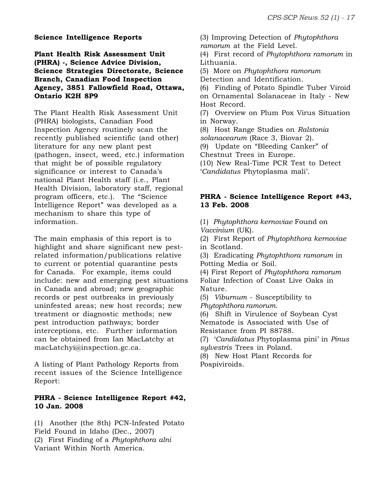#### **Science Intelligence Reports**

**Plant Health Risk Assessment Unit (PHRA) -, Science Advice Division, Science Strategies Directorate, Science Branch, Canadian Food Inspection Agency, 3851 Fallowfield Road, Ottawa, Ontario K2H 8P9**

The Plant Health Risk Assessment Unit (PHRA) biologists, Canadian Food Inspection Agency routinely scan the recently published scientific (and other) literature for any new plant pest (pathogen, insect, weed, etc.) information that might be of possible regulatory significance or interest to Canada's national Plant Health staff (i.e., Plant Health Division, laboratory staff, regional program officers, etc.). The "Science Intelligence Report" was developed as a mechanism to share this type of information.

The main emphasis of this report is to highlight and share significant new pestrelated information/publications relative to current or potential quarantine pests for Canada. For example, items could include: new and emerging pest situations in Canada and abroad; new geographic records or pest outbreaks in previously uninfested areas; new host records; new treatment or diagnostic methods; new pest introduction pathways; border interceptions, etc. Further information can be obtained from Ian MacLatchy at macLatchyi@inspection.gc.ca.

A listing of Plant Pathology Reports from recent issues of the Science Intelligence Report:

#### **PHRA - Science Intelligence Report #42, 10 Jan. 2008**

(1) Another (the 8th) PCN-Infested Potato Field Found in Idaho (Dec., 2007) (2) First Finding of a *Phytophthora alni* Variant Within North America.

(3) Improving Detection of *Phytophthora ramorum* at the Field Level.

(4) First record of *Phytophthora ramorum* in Lithuania.

(5) More on *Phytophthora ramorum*

Detection and Identification.

(6) Finding of Potato Spindle Tuber Viroid on Ornamental Solanaceae in Italy - New Host Record.

(7) Overview on Plum Pox Virus Situation in Norway.

(8) Host Range Studies on *Ralstonia solanacearum* (Race 3, Biovar 2).

(9) Update on "Bleeding Canker" of

Chestnut Trees in Europe.

(10) New Real-Time PCR Test to Detect '*Candidatus* Phytoplasma mali'.

### **PHRA - Science Intelligence Report #43, 13 Feb. 2008**

(1) *Phytophthora kernoviae* Found on *Vaccinium* (UK).

(2) First Report of *Phytophthora kernoviae* in Scotland.

(3) Eradicating *Phytophthora ramorum* in Potting Media or Soil.

(4) First Report of *Phytophthora ramorum* Foliar Infection of Coast Live Oaks in Nature.

(5) *Viburnum* - Susceptibility to *Phytophthora ramorum*.

(6) Shift in Virulence of Soybean Cyst Nematode is Associated with Use of

Resistance from PI 88788.

(7) '*Candidatus* Phytoplasma pini' in *Pinus sylvestris* Trees in Poland.

(8) New Host Plant Records for Pospiviroids.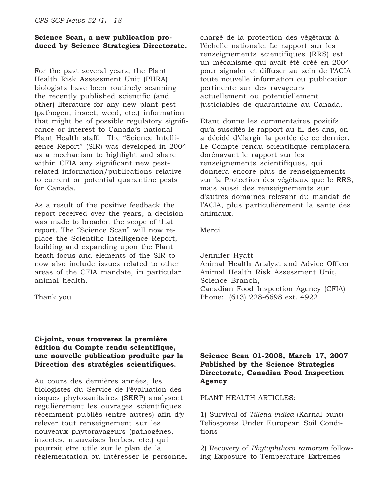### **Science Scan, a new publication produced by Science Strategies Directorate.**

For the past several years, the Plant Health Risk Assessment Unit (PHRA) biologists have been routinely scanning the recently published scientific (and other) literature for any new plant pest (pathogen, insect, weed, etc.) information that might be of possible regulatory significance or interest to Canada's national Plant Health staff. The "Science Intelligence Report" (SIR) was developed in 2004 as a mechanism to highlight and share within CFIA any significant new pestrelated information/publications relative to current or potential quarantine pests for Canada.

As a result of the positive feedback the report received over the years, a decision was made to broaden the scope of that report. The "Science Scan" will now replace the Scientific Intelligence Report, building and expanding upon the Plant heath focus and elements of the SIR to now also include issues related to other areas of the CFIA mandate, in particular animal health.

#### Thank you

### **Ci-joint, vous trouverez la première édition du Compte rendu scientifique, une nouvelle publication produite par la Direction des stratégies scientifiques.**

Au cours des dernières années, les biologistes du Service de l'évaluation des risques phytosanitaires (SERP) analysent régulièrement les ouvrages scientifiques récemment publiés (entre autres) afin d'y relever tout renseignement sur les nouveaux phytoravageurs (pathogènes, insectes, mauvaises herbes, etc.) qui pourrait être utile sur le plan de la réglementation ou intéresser le personnel chargé de la protection des végétaux à l'échelle nationale. Le rapport sur les renseignements scientifiques (RRS) est un mécanisme qui avait été créé en 2004 pour signaler et diffuser au sein de l'ACIA toute nouvelle information ou publication pertinente sur des ravageurs actuellement ou potentiellement justiciables de quarantaine au Canada.

Étant donné les commentaires positifs qu'a suscités le rapport au fil des ans, on a décidé d'élargir la portée de ce dernier. Le Compte rendu scientifique remplacera dorénavant le rapport sur les renseignements scientifiques, qui donnera encore plus de renseignements sur la Protection des végétaux que le RRS, mais aussi des renseignements sur d'autres domaines relevant du mandat de l'ACIA, plus particulièrement la santé des animaux.

#### Merci

Jennifer Hyatt Animal Health Analyst and Advice Officer Animal Health Risk Assessment Unit, Science Branch, Canadian Food Inspection Agency (CFIA) Phone: (613) 228-6698 ext. 4922

# **Science Scan 01-2008, March 17, 2007 Published by the Science Strategies Directorate, Canadian Food Inspection Agency**

#### PLANT HEALTH ARTICLES:

1) Survival of *Tilletia indica* (Karnal bunt) Teliospores Under European Soil Conditions

2) Recovery of *Phytophthora ramorum* following Exposure to Temperature Extremes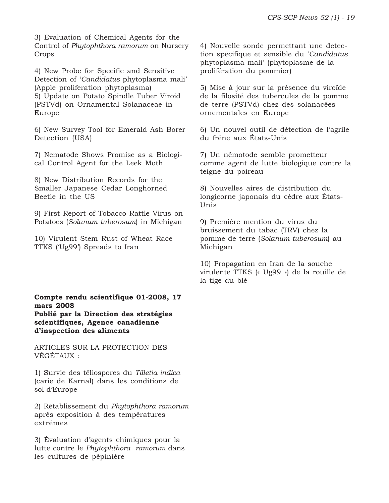3) Evaluation of Chemical Agents for the Control of *Phytophthora ramorum* on Nursery Crops

4) New Probe for Specific and Sensitive Detection of '*Candidatus* phytoplasma mali' (Apple proliferation phytoplasma) 5) Update on Potato Spindle Tuber Viroid (PSTVd) on Ornamental Solanaceae in Europe

6) New Survey Tool for Emerald Ash Borer Detection (USA)

7) Nematode Shows Promise as a Biological Control Agent for the Leek Moth

8) New Distribution Records for the Smaller Japanese Cedar Longhorned Beetle in the US

9) First Report of Tobacco Rattle Virus on Potatoes (*Solanum tuberosum*) in Michigan

10) Virulent Stem Rust of Wheat Race TTKS ('Ug99') Spreads to Iran

**Compte rendu scientifique 01-2008, 17 mars 2008 Publié par la Direction des stratégies scientifiques, Agence canadienne d'inspection des aliments**

ARTICLES SUR LA PROTECTION DES VÉGÉTAUX :

1) Survie des téliospores du *Tilletia indica* (carie de Karnal) dans les conditions de sol d'Europe

2) Rétablissement du *Phytophthora ramorum* après exposition à des températures extrêmes

3) Évaluation d'agents chimiques pour la lutte contre le *Phytophthora ramorum* dans les cultures de pépinière

4) Nouvelle sonde permettant une detection spécifique et sensible du '*Candidatus* phytoplasma mali' (phytoplasme de la prolifération du pommier)

5) Mise à jour sur la présence du viroïde de la filosité des tubercules de la pomme de terre (PSTVd) chez des solanacées ornementales en Europe

6) Un nouvel outil de détection de l'agrile du frêne aux États-Unis

7) Un némotode semble prometteur comme agent de lutte biologique contre la teigne du poireau

8) Nouvelles aires de distribution du longicorne japonais du cèdre aux États-Unis

9) Première mention du virus du bruissement du tabac (TRV) chez la pomme de terre (*Solanum tuberosum*) au Michigan

10) Propagation en Iran de la souche virulente TTKS (« Ug99 ») de la rouille de la tige du blé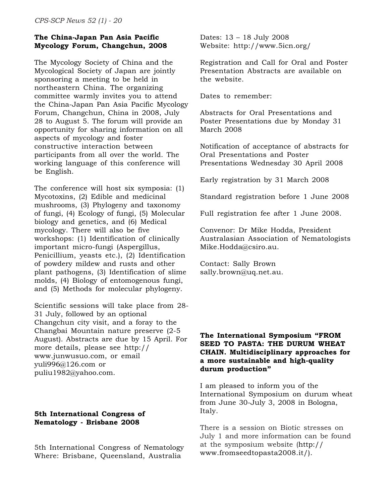# **The China-Japan Pan Asia Pacific Mycology Forum, Changchun, 2008**

The Mycology Society of China and the Mycological Society of Japan are jointly sponsoring a meeting to be held in northeastern China. The organizing committee warmly invites you to attend the China-Japan Pan Asia Pacific Mycology Forum, Changchun, China in 2008, July 28 to August 5. The forum will provide an opportunity for sharing information on all aspects of mycology and foster constructive interaction between participants from all over the world. The working language of this conference will be English.

The conference will host six symposia: (1) Mycotoxins, (2) Edible and medicinal mushrooms, (3) Phylogeny and taxonomy of fungi, (4) Ecology of fungi, (5) Molecular biology and genetics, and (6) Medical mycology. There will also be five workshops: (1) Identification of clinically important micro-fungi (Aspergillus, Penicillium, yeasts etc.), (2) Identification of powdery mildew and rusts and other plant pathogens, (3) Identification of slime molds, (4) Biology of entomogenous fungi, and (5) Methods for molecular phylogeny.

Scientific sessions will take place from 28- 31 July, followed by an optional Changchun city visit, and a foray to the Changbai Mountain nature preserve (2-5 August). Abstracts are due by 15 April. For more details, please see http:// www.junwusuo.com, or email yuli996@126.com or puliu1982@yahoo.com.

# **5th International Congress of Nematology - Brisbane 2008**

5th International Congress of Nematology Where: Brisbane, Queensland, Australia

Dates: 13 – 18 July 2008 Website: http://www.5icn.org/

Registration and Call for Oral and Poster Presentation Abstracts are available on the website.

Dates to remember:

Abstracts for Oral Presentations and Poster Presentations due by Monday 31 March 2008

Notification of acceptance of abstracts for Oral Presentations and Poster Presentations Wednesday 30 April 2008

Early registration by 31 March 2008

Standard registration before 1 June 2008

Full registration fee after 1 June 2008.

Convenor: Dr Mike Hodda, President Australasian Association of Nematologists Mike.Hodda@csiro.au.

Contact: Sally Brown sally.brown@uq.net.au.

# **The International Symposium "FROM SEED TO PASTA: THE DURUM WHEAT CHAIN. Multidisciplinary approaches for a more sustainable and high-quality durum production"**

I am pleased to inform you of the International Symposium on durum wheat from June 30-July 3, 2008 in Bologna, Italy.

There is a session on Biotic stresses on July 1 and more information can be found at the symposium website (http:// www.fromseedtopasta2008.it/).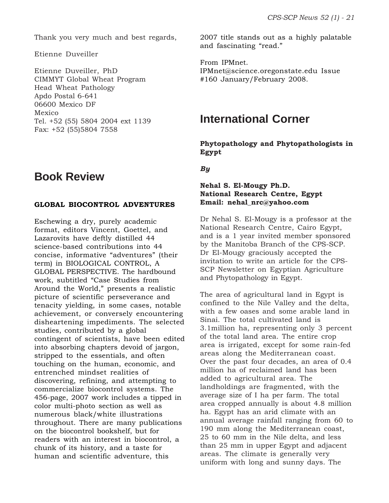Thank you very much and best regards,

Etienne Duveiller

Etienne Duveiller, PhD CIMMYT Global Wheat Program Head Wheat Pathology Apdo Postal 6-641 06600 Mexico DF Mexico Tel. +52 (55) 5804 2004 ext 1139 Fax: +52 (55)5804 7558

# **Book Review**

#### **GLOBAL BIOCONTROL ADVENTURES**

Eschewing a dry, purely academic format, editors Vincent, Goettel, and Lazarovits have deftly distilled 44 science-based contributions into 44 concise, informative "adventures" (their term) in BIOLOGICAL CONTROL, A GLOBAL PERSPECTIVE. The hardbound work, subtitled "Case Studies from Around the World," presents a realistic picture of scientific perseverance and tenacity yielding, in some cases, notable achievement, or conversely encountering disheartening impediments. The selected studies, contributed by a global contingent of scientists, have been edited into absorbing chapters devoid of jargon, stripped to the essentials, and often touching on the human, economic, and entrenched mindset realities of discovering, refining, and attempting to commercialize biocontrol systems. The 456-page, 2007 work includes a tipped in color multi-photo section as well as numerous black/white illustrations throughout. There are many publications on the biocontrol bookshelf, but for readers with an interest in biocontrol, a chunk of its history, and a taste for human and scientific adventure, this

2007 title stands out as a highly palatable and fascinating "read."

From IPMnet. IPMnet@science.oregonstate.edu Issue #160 January/February 2008.

# **International Corner**

**Phytopathology and Phytopathologists in Egypt**

*By*

### **Nehal S. El-Mougy Ph.D. National Research Centre, Egypt Email: nehal\_nrc@yahoo.com**

Dr Nehal S. El-Mougy is a professor at the National Research Centre, Cairo Egypt, and is a 1 year invited member sponsored by the Manitoba Branch of the CPS-SCP. Dr El-Mougy graciously accepted the invitation to write an article for the CPS-SCP Newsletter on Egyptian Agriculture and Phytopathology in Egypt.

The area of agricultural land in Egypt is confined to the Nile Valley and the delta, with a few oases and some arable land in Sinai. The total cultivated land is 3.1million ha, representing only 3 percent of the total land area. The entire crop area is irrigated, except for some rain-fed areas along the Mediterranean coast. Over the past four decades, an area of 0.4 million ha of reclaimed land has been added to agricultural area. The landholdings are fragmented, with the average size of I ha per farm. The total area cropped annually is about 4.8 million ha. Egypt has an arid climate with an annual average rainfall ranging from 60 to 190 mm along the Mediterranean coast, 25 to 60 mm in the Nile delta, and less than 25 mm in upper Egypt and adjacent areas. The climate is generally very uniform with long and sunny days. The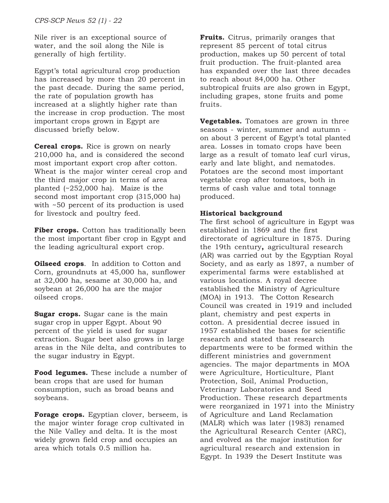Nile river is an exceptional source of water, and the soil along the Nile is generally of high fertility.

Egypt's total agricultural crop production has increased by more than 20 percent in the past decade. During the same period, the rate of population growth has increased at a slightly higher rate than the increase in crop production. The most important crops grown in Egypt are discussed briefly below.

**Cereal crops.** Rice is grown on nearly 210,000 ha, and is considered the second most important export crop after cotton. Wheat is the major winter cereal crop and the third major crop in terms of area planted (~252,000 ha). Maize is the second most important crop (315,000 ha) with ~50 percent of its production is used for livestock and poultry feed.

Fiber crops. Cotton has traditionally been the most important fiber crop in Egypt and the leading agricultural export crop.

**Oilseed crops**. In addition to Cotton and Corn, groundnuts at 45,000 ha, sunflower at 32,000 ha, sesame at 30,000 ha, and soybean at 26,000 ha are the major oilseed crops.

**Sugar crops.** Sugar cane is the main sugar crop in upper Egypt. About 90 percent of the yield is used for sugar extraction. Sugar beet also grows in large areas in the Nile delta, and contributes to the sugar industry in Egypt.

**Food legumes.** These include a number of bean crops that are used for human consumption, such as broad beans and soybeans.

**Forage crops.** Egyptian clover, berseem, is the major winter forage crop cultivated in the Nile Valley and delta. It is the most widely grown field crop and occupies an area which totals 0.5 million ha.

**Fruits.** Citrus, primarily oranges that represent 85 percent of total citrus production, makes up 50 percent of total fruit production. The fruit-planted area has expanded over the last three decades to reach about 84,000 ha. Other subtropical fruits are also grown in Egypt, including grapes, stone fruits and pome fruits.

**Vegetables.** Tomatoes are grown in three seasons - winter, summer and autumn on about 3 percent of Egypt's total planted area. Losses in tomato crops have been large as a result of tomato leaf curl virus, early and late blight, and nematodes. Potatoes are the second most important vegetable crop after tomatoes, both in terms of cash value and total tonnage produced.

# **Historical background**

The first school of agriculture in Egypt was established in 1869 and the first directorate of agriculture in 1875. During the 19th century**,** agricultural research (AR) was carried out by the Egyptian Royal Society, and as early as 1897, a number of experimental farms were established at various locations. A royal decree established the Ministry of Agriculture (MOA) in 1913. The Cotton Research Council was created in 1919 and included plant, chemistry and pest experts in cotton. A presidential decree issued in 1957 established the bases for scientific research and stated that research departments were to be formed within the different ministries and government agencies. The major departments in MOA were Agriculture, Horticulture, Plant Protection, Soil, Animal Production, Veterinary Laboratories and Seed Production. These research departments were reorganized in 1971 into the Ministry of Agriculture and Land Reclamation (MALR) which was later (1983) renamed the Agricultural Research Center (ARC), and evolved as the major institution for agricultural research and extension in Egypt. In 1939 the Desert Institute was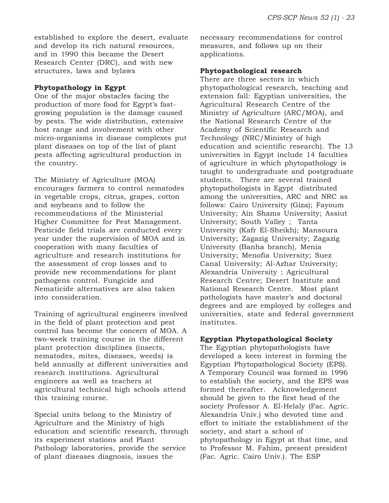established to explore the desert, evaluate and develop its rich natural resources, and in 1990 this became the Desert Research Center (DRC), and with new structures, laws and bylaws

### **Phytopathology in Egypt**

One of the major obstacles facing the production of more food for Egypt's fastgrowing population is the damage caused by pests. The wide distribution, extensive host range and involvement with other micro-organisms in disease complexes put plant diseases on top of the list of plant pests affecting agricultural production in the country.

The Ministry of Agriculture (MOA) encourages farmers to control nematodes in vegetable crops, citrus, grapes, cotton and soybeans and to follow the recommendations of the Ministerial Higher Committee for Pest Management. Pesticide field trials are conducted every year under the supervision of MOA and in cooperation with many faculties of agriculture and research institutions for the assessment of crop losses and to provide new recommendations for plant pathogens control. Fungicide and Nematicide alternatives are also taken into consideration.

Training of agricultural engineers involved in the field of plant protection and pest control has become the concern of MOA. A two-week training course in the different plant protection disciplines (insects, nematodes, mites, diseases, weeds) is held annually at different universities and research institutions. Agricultural engineers as well as teachers at agricultural technical high schools attend this training course.

Special units belong to the Ministry of Agriculture and the Ministry of high education and scientific research, through its experiment stations and Plant Pathology laboratories, provide the service of plant diseases diagnosis, issues the

necessary recommendations for control measures, and follows up on their applications.

#### **Phytopathological research**

There are three sectors in which phytopathological research, teaching and extension fall: Egyptian universities, the Agricultural Research Centre of the Ministry of Agriculture (ARC/MOA), and the National Research Centre of the Academy of Scientific Research and Technology (NRC/Ministry of high education and scientific research). The 13 universities in Egypt include 14 faculties of agriculture in which phytopathology is taught to undergraduate and postgraduate students. There are several trained phytopathologists in Egypt distributed among the universities, ARC and NRC as follows: Cairo University (Giza); Fayoum University; Ain Shams University; Assiut University; South Valley ; Tanta University (Kafr El-Sheikh); Mansoura University; Zagazig University; Zagazig University (Banha branch), Menia University; Menofia University; Suez Canal University; Al-Azhar University; Alexandria University ; Agricultural Research Centre; Desert Institute and National Research Centre. Most plant pathologists have master's and doctoral degrees and are employed by colleges and universities, state and federal government institutes.

# **Egyptian Phytopathological Society**

The Egyptian phytopathologists have developed a keen interest in forming the Egyptian Phytopathological Society (EPS). A Temporary Council was formed in 1996 to establish the society, and the EPS was formed thereafter. Acknowledgement should be given to the first head of the society Professor A. El-Helaly (Fac. Agric. Alexandria Univ.) who devoted time and effort to initiate the establishment of the society, and start a school of phytopathology in Egypt at that time, and to Professor M. Fahim, present president (Fac. Agric. Cairo Univ.). The ESP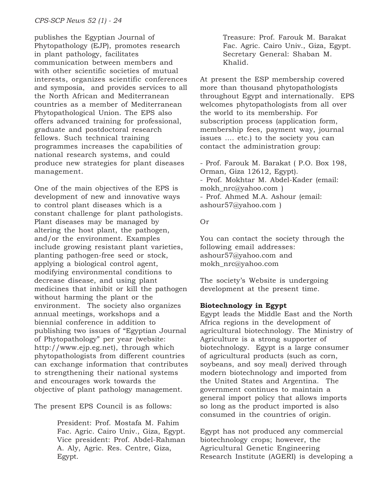publishes the Egyptian Journal of Phytopathology (EJP), promotes research in plant pathology, facilitates communication between members and with other scientific societies of mutual interests, organizes scientific conferences and symposia, and provides services to all the North African and Mediterranean countries as a member of Mediterranean Phytopathological Union. The EPS also offers advanced training for professional, graduate and postdoctoral research fellows. Such technical training programmes increases the capabilities of national research systems, and could produce new strategies for plant diseases management.

One of the main objectives of the EPS is development of new and innovative ways to control plant diseases which is a constant challenge for plant pathologists. Plant diseases may be managed by altering the host plant, the pathogen, and/or the environment. Examples include growing resistant plant varieties, planting pathogen-free seed or stock, applying a biological control agent, modifying environmental conditions to decrease disease, and using plant medicines that inhibit or kill the pathogen without harming the plant or the environment. The society also organizes annual meetings, workshops and a biennial conference in addition to publishing two issues of "Egyptian Journal of Phytopathology" per year (website: http://www.ejp.eg.net), through which phytopathologists from different countries can exchange information that contributes to strengthening their national systems and encourages work towards the objective of plant pathology management.

The present EPS Council is as follows:

President: Prof. Mostafa M. Fahim Fac. Agric. Cairo Univ., Giza, Egypt. Vice president: Prof. Abdel-Rahman A. Aly, Agric. Res. Centre, Giza, Egypt.

Treasure: Prof. Farouk M. Barakat Fac. Agric. Cairo Univ., Giza, Egypt. Secretary General: Shaban M. Khalid.

At present the ESP membership covered more than thousand phytopathologists throughout Egypt and internationally. EPS welcomes phytopathologists from all over the world to its membership. For subscription process (application form, membership fees, payment way, journal issues …. etc.) to the society you can contact the administration group:

- Prof. Farouk M. Barakat ( P.O. Box 198, Orman, Giza 12612, Egypt). - Prof. Mokhtar M. Abdel-Kader (email: mokh\_nrc@yahoo.com ) - Prof. Ahmed M.A. Ashour (email: ashour57@yahoo.com )

# Or

You can contact the society through the following email addresses: ashour57@yahoo.com and mokh\_nrc@yahoo.com

The society's Website is undergoing development at the present time.

# **Biotechnology in Egypt**

Egypt leads the Middle East and the North Africa regions in the development of agricultural biotechnology. The Ministry of Agriculture is a strong supporter of biotechnology. Egypt is a large consumer of agricultural products (such as corn, soybeans, and soy meal) derived through modern biotechnology and imported from the United States and Argentina. The government continues to maintain a general import policy that allows imports so long as the product imported is also consumed in the countries of origin.

Egypt has not produced any commercial biotechnology crops; however, the Agricultural Genetic Engineering Research Institute (AGERI) is developing a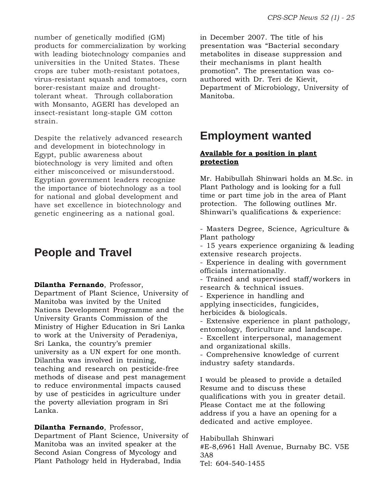number of genetically modified (GM) products for commercialization by working with leading biotechnology companies and universities in the United States. These crops are tuber moth-resistant potatoes, virus-resistant squash and tomatoes, corn borer-resistant maize and droughttolerant wheat. Through collaboration with Monsanto, AGERI has developed an insect-resistant long-staple GM cotton strain.

Despite the relatively advanced research and development in biotechnology in Egypt, public awareness about biotechnology is very limited and often either misconceived or misunderstood. Egyptian government leaders recognize the importance of biotechnology as a tool for national and global development and have set excellence in biotechnology and genetic engineering as a national goal.

# **People and Travel**

**Dilantha Fernando**, Professor,

Department of Plant Science, University of Manitoba was invited by the United Nations Development Programme and the University Grants Commission of the Ministry of Higher Education in Sri Lanka to work at the University of Peradeniya, Sri Lanka, the country's premier university as a UN expert for one month. Dilantha was involved in training, teaching and research on pesticide-free methods of disease and pest management to reduce environmental impacts caused by use of pesticides in agriculture under the poverty alleviation program in Sri Lanka.

# **Dilantha Fernando**, Professor,

Department of Plant Science, University of Manitoba was an invited speaker at the Second Asian Congress of Mycology and Plant Pathology held in Hyderabad, India

in December 2007. The title of his presentation was "Bacterial secondary metabolites in disease suppression and their mechanisms in plant health promotion". The presentation was coauthored with Dr. Teri de Kievit, Department of Microbiology, University of Manitoba.

# **Employment wanted**

# **Available for a position in plant protection**

Mr. Habibullah Shinwari holds an M.Sc. in Plant Pathology and is looking for a full time or part time job in the area of Plant protection. The following outlines Mr. Shinwari's qualifications & experience:

- Masters Degree, Science, Agriculture & Plant pathology

- 15 years experience organizing & leading extensive research projects.

- Experience in dealing with government officials internationally.

- Trained and supervised staff/workers in research & technical issues.

- Experience in handling and applying insecticides, fungicides, herbicides & biologicals.

- Extensive experience in plant pathology, entomology, floriculture and landscape.

- Excellent interpersonal, management and organizational skills.

- Comprehensive knowledge of current industry safety standards.

I would be pleased to provide a detailed Resume and to discuss these qualifications with you in greater detail. Please Contact me at the following address if you a have an opening for a dedicated and active employee.

Habibullah Shinwari #E-8,6961 Hall Avenue, Burnaby BC. V5E 3A8 Tel: 604-540-1455